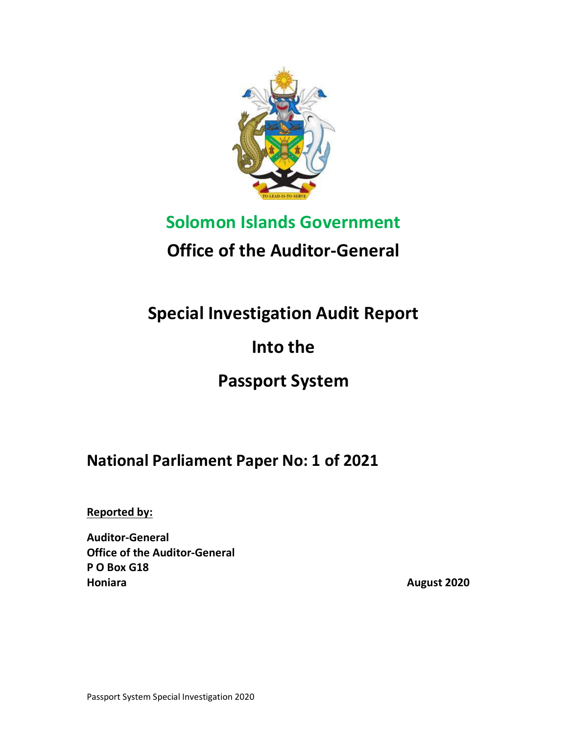

# Solomon Islands Government

# Office of the Auditor-General

# Special Investigation Audit Report

# Into the

## Passport System

## National Parliament Paper No: 1 of 2021

Reported by:

Auditor-General Office of the Auditor-General P O Box G18 Honiara **August 2020**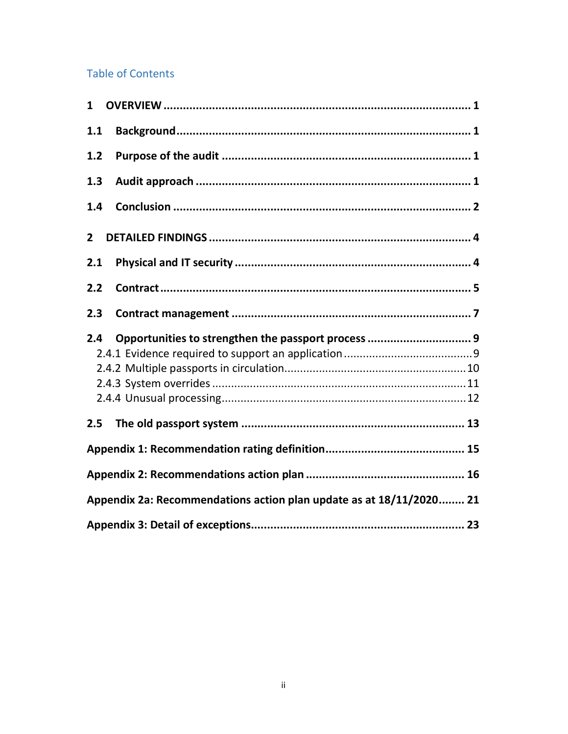#### **Table of Contents**

| 1              |                                                                     |
|----------------|---------------------------------------------------------------------|
| 1.1            |                                                                     |
| 1.2            |                                                                     |
| 1.3            |                                                                     |
| 1.4            |                                                                     |
| $\overline{2}$ |                                                                     |
| 2.1            |                                                                     |
| 2.2            |                                                                     |
| 2.3            |                                                                     |
|                |                                                                     |
| 2.4            | Opportunities to strengthen the passport process  9                 |
| 2.5            |                                                                     |
|                |                                                                     |
|                |                                                                     |
|                | Appendix 2a: Recommendations action plan update as at 18/11/2020 21 |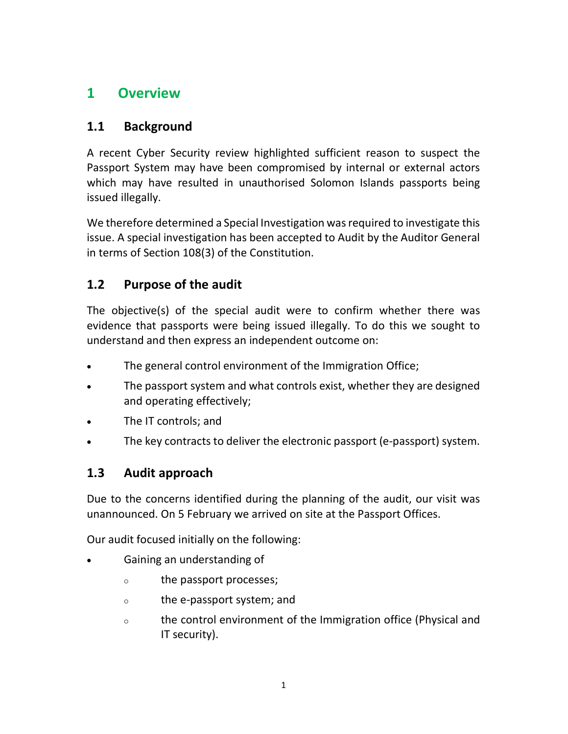### 1 Overview

### 1.1 Background

A recent Cyber Security review highlighted sufficient reason to suspect the Passport System may have been compromised by internal or external actors which may have resulted in unauthorised Solomon Islands passports being issued illegally.

We therefore determined a Special Investigation was required to investigate this issue. A special investigation has been accepted to Audit by the Auditor General in terms of Section 108(3) of the Constitution.

### 1.2 Purpose of the audit

The objective(s) of the special audit were to confirm whether there was evidence that passports were being issued illegally. To do this we sought to understand and then express an independent outcome on:

- The general control environment of the Immigration Office;
- The passport system and what controls exist, whether they are designed and operating effectively;
- The IT controls; and
- The key contracts to deliver the electronic passport (e-passport) system.

### 1.3 Audit approach

Due to the concerns identified during the planning of the audit, our visit was unannounced. On 5 February we arrived on site at the Passport Offices.

Our audit focused initially on the following:

- Gaining an understanding of
	- the passport processes;
	- the e-passport system; and
	- the control environment of the Immigration office (Physical and IT security).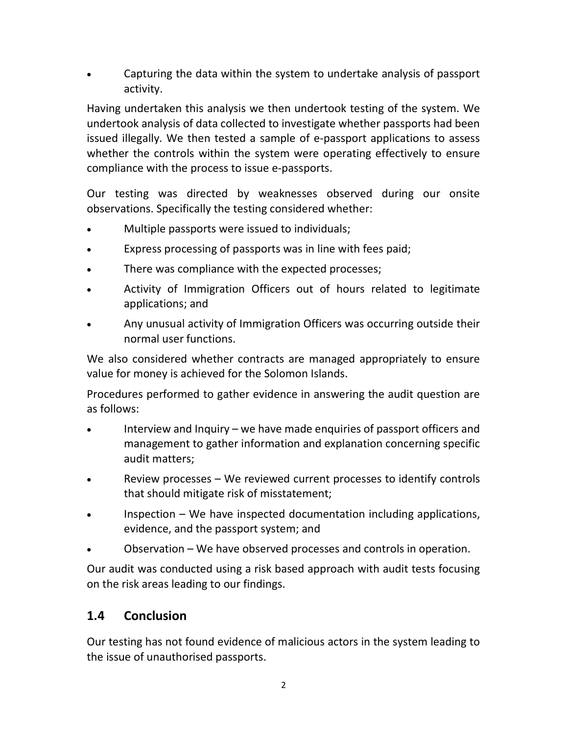Capturing the data within the system to undertake analysis of passport activity.

Having undertaken this analysis we then undertook testing of the system. We undertook analysis of data collected to investigate whether passports had been issued illegally. We then tested a sample of e-passport applications to assess whether the controls within the system were operating effectively to ensure compliance with the process to issue e-passports.

Our testing was directed by weaknesses observed during our onsite observations. Specifically the testing considered whether:

- Multiple passports were issued to individuals;
- Express processing of passports was in line with fees paid;
- There was compliance with the expected processes;
- Activity of Immigration Officers out of hours related to legitimate applications; and
- Any unusual activity of Immigration Officers was occurring outside their normal user functions.

We also considered whether contracts are managed appropriately to ensure value for money is achieved for the Solomon Islands.

Procedures performed to gather evidence in answering the audit question are as follows:

- Interview and Inquiry we have made enquiries of passport officers and management to gather information and explanation concerning specific audit matters;
- Review processes We reviewed current processes to identify controls that should mitigate risk of misstatement;
- Inspection We have inspected documentation including applications, evidence, and the passport system; and
- Observation We have observed processes and controls in operation.

Our audit was conducted using a risk based approach with audit tests focusing on the risk areas leading to our findings.

#### 1.4 Conclusion

Our testing has not found evidence of malicious actors in the system leading to the issue of unauthorised passports.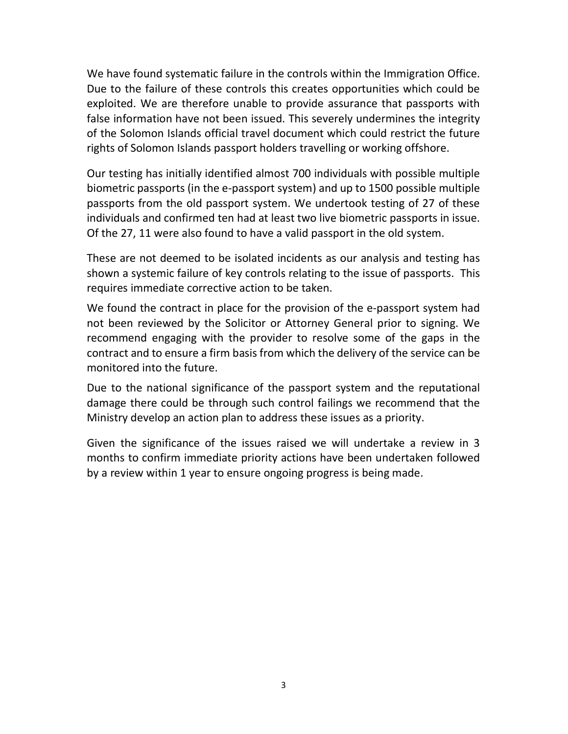We have found systematic failure in the controls within the Immigration Office. Due to the failure of these controls this creates opportunities which could be exploited. We are therefore unable to provide assurance that passports with false information have not been issued. This severely undermines the integrity of the Solomon Islands official travel document which could restrict the future rights of Solomon Islands passport holders travelling or working offshore.

Our testing has initially identified almost 700 individuals with possible multiple biometric passports (in the e-passport system) and up to 1500 possible multiple passports from the old passport system. We undertook testing of 27 of these individuals and confirmed ten had at least two live biometric passports in issue. Of the 27, 11 were also found to have a valid passport in the old system.

These are not deemed to be isolated incidents as our analysis and testing has shown a systemic failure of key controls relating to the issue of passports. This requires immediate corrective action to be taken.

We found the contract in place for the provision of the e-passport system had not been reviewed by the Solicitor or Attorney General prior to signing. We recommend engaging with the provider to resolve some of the gaps in the contract and to ensure a firm basis from which the delivery of the service can be monitored into the future.

Due to the national significance of the passport system and the reputational damage there could be through such control failings we recommend that the Ministry develop an action plan to address these issues as a priority.

Given the significance of the issues raised we will undertake a review in 3 months to confirm immediate priority actions have been undertaken followed by a review within 1 year to ensure ongoing progress is being made.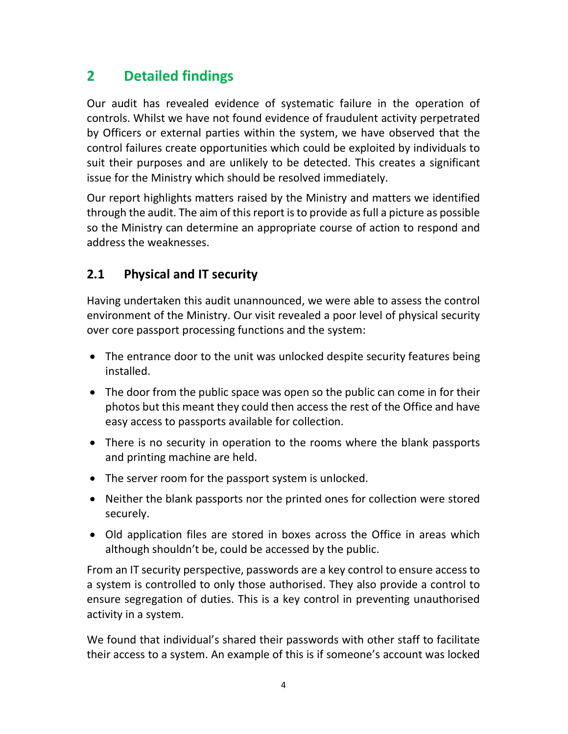### 2 Detailed findings

Our audit has revealed evidence of systematic failure in the operation of controls. Whilst we have not found evidence of fraudulent activity perpetrated by Officers or external parties within the system, we have observed that the control failures create opportunities which could be exploited by individuals to suit their purposes and are unlikely to be detected. This creates a significant issue for the Ministry which should be resolved immediately.

Our report highlights matters raised by the Ministry and matters we identified through the audit. The aim of this report is to provide as full a picture as possible so the Ministry can determine an appropriate course of action to respond and address the weaknesses.

### 2.1 Physical and IT security

Having undertaken this audit unannounced, we were able to assess the control environment of the Ministry. Our visit revealed a poor level of physical security over core passport processing functions and the system:

- The entrance door to the unit was unlocked despite security features being installed.
- The door from the public space was open so the public can come in for their photos but this meant they could then access the rest of the Office and have easy access to passports available for collection.
- There is no security in operation to the rooms where the blank passports and printing machine are held.
- The server room for the passport system is unlocked.
- Neither the blank passports nor the printed ones for collection were stored securely.
- Old application files are stored in boxes across the Office in areas which although shouldn't be, could be accessed by the public.

From an IT security perspective, passwords are a key control to ensure access to a system is controlled to only those authorised. They also provide a control to ensure segregation of duties. This is a key control in preventing unauthorised activity in a system.

We found that individual's shared their passwords with other staff to facilitate their access to a system. An example of this is if someone's account was locked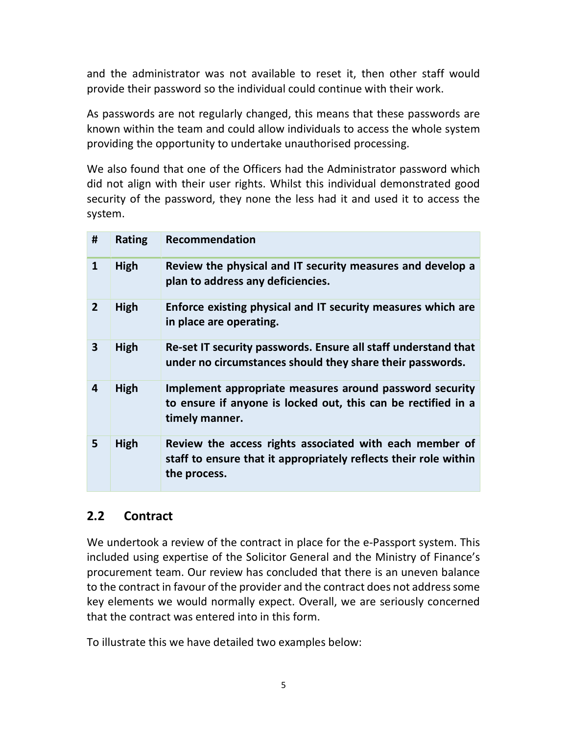and the administrator was not available to reset it, then other staff would provide their password so the individual could continue with their work.

As passwords are not regularly changed, this means that these passwords are known within the team and could allow individuals to access the whole system providing the opportunity to undertake unauthorised processing.

We also found that one of the Officers had the Administrator password which did not align with their user rights. Whilst this individual demonstrated good security of the password, they none the less had it and used it to access the system.

| #                       | <b>Rating</b> | <b>Recommendation</b>                                                                                                                       |
|-------------------------|---------------|---------------------------------------------------------------------------------------------------------------------------------------------|
| 1                       | High          | Review the physical and IT security measures and develop a<br>plan to address any deficiencies.                                             |
| $\overline{2}$          | High          | Enforce existing physical and IT security measures which are<br>in place are operating.                                                     |
| 3                       | High          | Re-set IT security passwords. Ensure all staff understand that<br>under no circumstances should they share their passwords.                 |
| $\overline{\mathbf{4}}$ | High          | Implement appropriate measures around password security<br>to ensure if anyone is locked out, this can be rectified in a<br>timely manner.  |
| 5                       | High          | Review the access rights associated with each member of<br>staff to ensure that it appropriately reflects their role within<br>the process. |

#### 2.2 Contract

We undertook a review of the contract in place for the e-Passport system. This included using expertise of the Solicitor General and the Ministry of Finance's procurement team. Our review has concluded that there is an uneven balance to the contract in favour of the provider and the contract does not address some key elements we would normally expect. Overall, we are seriously concerned that the contract was entered into in this form.

To illustrate this we have detailed two examples below: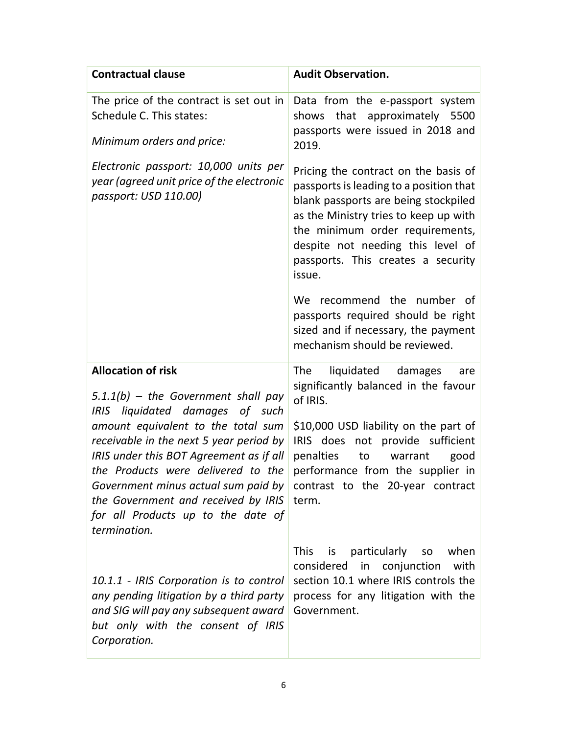| <b>Contractual clause</b>                                                                                                                                                                                                                                                                                                                                                 | <b>Audit Observation.</b>                                                                                                                                                                                                                                                                |
|---------------------------------------------------------------------------------------------------------------------------------------------------------------------------------------------------------------------------------------------------------------------------------------------------------------------------------------------------------------------------|------------------------------------------------------------------------------------------------------------------------------------------------------------------------------------------------------------------------------------------------------------------------------------------|
| The price of the contract is set out in<br>Schedule C. This states:<br>Minimum orders and price:                                                                                                                                                                                                                                                                          | Data from the e-passport system<br>shows that approximately 5500<br>passports were issued in 2018 and<br>2019.                                                                                                                                                                           |
| Electronic passport: 10,000 units per<br>year (agreed unit price of the electronic<br>passport: USD 110.00)                                                                                                                                                                                                                                                               | Pricing the contract on the basis of<br>passports is leading to a position that<br>blank passports are being stockpiled<br>as the Ministry tries to keep up with<br>the minimum order requirements,<br>despite not needing this level of<br>passports. This creates a security<br>issue. |
|                                                                                                                                                                                                                                                                                                                                                                           | We recommend the number of<br>passports required should be right<br>sized and if necessary, the payment<br>mechanism should be reviewed.                                                                                                                                                 |
| <b>Allocation of risk</b><br>$5.1.1(b)$ - the Government shall pay                                                                                                                                                                                                                                                                                                        | liquidated<br><b>The</b><br>damages<br>are<br>significantly balanced in the favour<br>of IRIS.                                                                                                                                                                                           |
| IRIS liquidated damages<br>of such<br>amount equivalent to the total sum<br>receivable in the next 5 year period by<br>IRIS under this BOT Agreement as if all<br>the Products were delivered to the<br>Government minus actual sum paid by contrast to the 20-year contract<br>the Government and received by IRIS<br>for all Products up to the date of<br>termination. | \$10,000 USD liability on the part of<br>IRIS does not provide sufficient<br>penalties<br>to<br>warrant<br>good<br>performance from the supplier in<br>term.                                                                                                                             |
| 10.1.1 - IRIS Corporation is to control<br>any pending litigation by a third party<br>and SIG will pay any subsequent award<br>but only with the consent of IRIS<br>Corporation.                                                                                                                                                                                          | is particularly<br>when<br><b>This</b><br>SO<br>considered in conjunction<br>with<br>section 10.1 where IRIS controls the<br>process for any litigation with the<br>Government.                                                                                                          |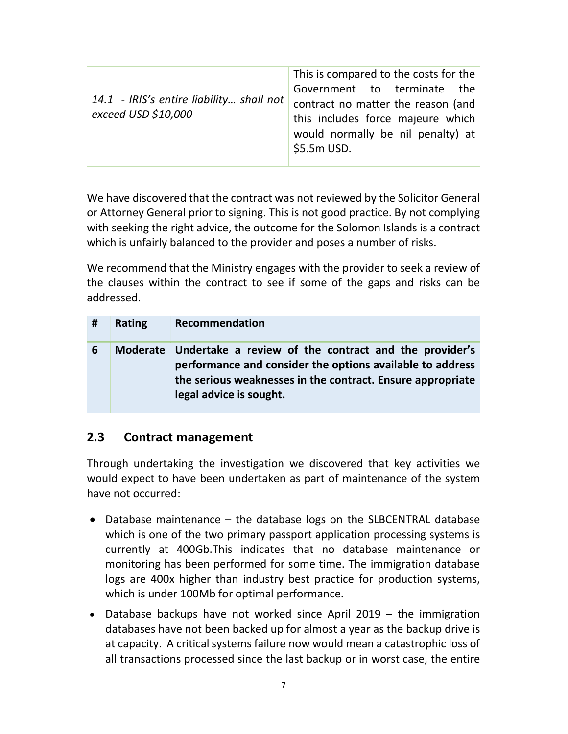| 14.1 - IRIS's entire liability shall not<br>exceed USD \$10,000 | This is compared to the costs for the<br>Government to terminate the<br>contract no matter the reason (and<br>this includes force majeure which<br>would normally be nil penalty) at<br>$$5.5m$ USD. |
|-----------------------------------------------------------------|------------------------------------------------------------------------------------------------------------------------------------------------------------------------------------------------------|
|-----------------------------------------------------------------|------------------------------------------------------------------------------------------------------------------------------------------------------------------------------------------------------|

We have discovered that the contract was not reviewed by the Solicitor General or Attorney General prior to signing. This is not good practice. By not complying with seeking the right advice, the outcome for the Solomon Islands is a contract which is unfairly balanced to the provider and poses a number of risks.

We recommend that the Ministry engages with the provider to seek a review of the clauses within the contract to see if some of the gaps and risks can be addressed.

| # | <b>Rating</b>   | Recommendation                                                                                                                                                                                              |
|---|-----------------|-------------------------------------------------------------------------------------------------------------------------------------------------------------------------------------------------------------|
| 6 | <b>Moderate</b> | Undertake a review of the contract and the provider's<br>performance and consider the options available to address<br>the serious weaknesses in the contract. Ensure appropriate<br>legal advice is sought. |

#### 2.3 Contract management

Through undertaking the investigation we discovered that key activities we would expect to have been undertaken as part of maintenance of the system have not occurred:

- Database maintenance the database logs on the SLBCENTRAL database which is one of the two primary passport application processing systems is currently at 400Gb.This indicates that no database maintenance or monitoring has been performed for some time. The immigration database logs are 400x higher than industry best practice for production systems, which is under 100Mb for optimal performance.
- Database backups have not worked since April 2019 the immigration databases have not been backed up for almost a year as the backup drive is at capacity. A critical systems failure now would mean a catastrophic loss of all transactions processed since the last backup or in worst case, the entire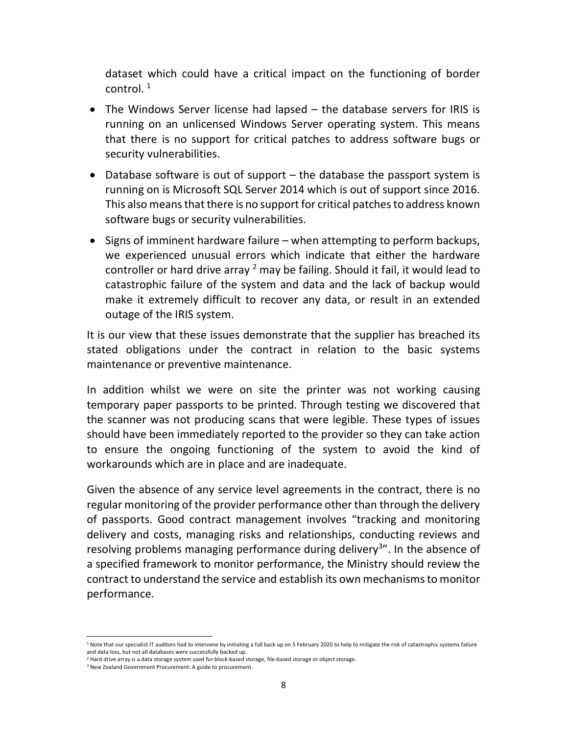dataset which could have a critical impact on the functioning of border control. <sup>1</sup>

- The Windows Server license had lapsed the database servers for IRIS is running on an unlicensed Windows Server operating system. This means that there is no support for critical patches to address software bugs or security vulnerabilities.
- $\bullet$  Database software is out of support the database the passport system is running on is Microsoft SQL Server 2014 which is out of support since 2016. This also means that there is no support for critical patches to address known software bugs or security vulnerabilities.
- $\bullet$  Signs of imminent hardware failure when attempting to perform backups, we experienced unusual errors which indicate that either the hardware controller or hard drive array  $2$  may be failing. Should it fail, it would lead to catastrophic failure of the system and data and the lack of backup would make it extremely difficult to recover any data, or result in an extended outage of the IRIS system.

It is our view that these issues demonstrate that the supplier has breached its stated obligations under the contract in relation to the basic systems maintenance or preventive maintenance.

In addition whilst we were on site the printer was not working causing temporary paper passports to be printed. Through testing we discovered that the scanner was not producing scans that were legible. These types of issues should have been immediately reported to the provider so they can take action to ensure the ongoing functioning of the system to avoid the kind of workarounds which are in place and are inadequate.

Given the absence of any service level agreements in the contract, there is no regular monitoring of the provider performance other than through the delivery of passports. Good contract management involves "tracking and monitoring delivery and costs, managing risks and relationships, conducting reviews and resolving problems managing performance during delivery<sup>3</sup>". In the absence of a specified framework to monitor performance, the Ministry should review the contract to understand the service and establish its own mechanisms to monitor performance.

<sup>-</sup><sup>1</sup> Note that our specialist IT auditors had to intervene by initiating a full back up on 5 February 2020 to help to mitigate the risk of catastrophic systems failure and data loss, but not all databases were successfully backed up.

<sup>&</sup>lt;sup>2</sup> Hard drive array is a data storage system used for block-based storage, file-based storage or object storage.

<sup>&</sup>lt;sup>3</sup> New Zealand Government Procurement: A guide to procurement.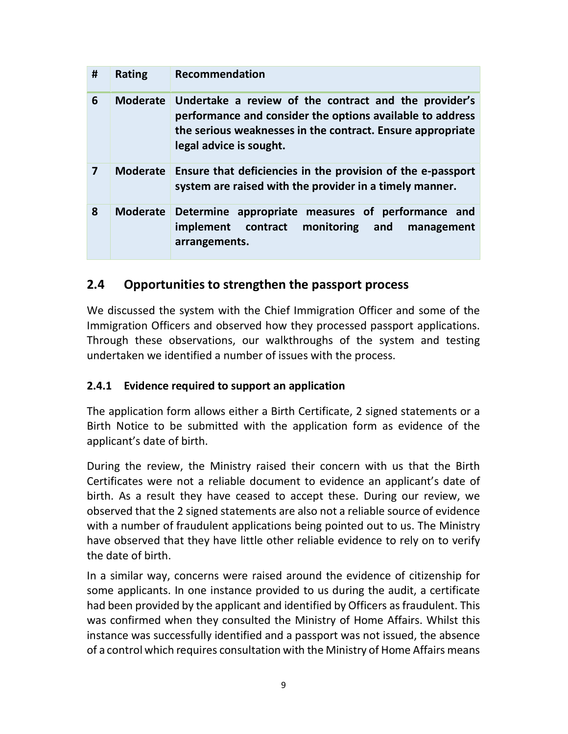| # | <b>Rating</b>   | Recommendation                                                                                                                                                                                              |
|---|-----------------|-------------------------------------------------------------------------------------------------------------------------------------------------------------------------------------------------------------|
| 6 | <b>Moderate</b> | Undertake a review of the contract and the provider's<br>performance and consider the options available to address<br>the serious weaknesses in the contract. Ensure appropriate<br>legal advice is sought. |
| 7 | <b>Moderate</b> | Ensure that deficiencies in the provision of the e-passport<br>system are raised with the provider in a timely manner.                                                                                      |
| 8 | <b>Moderate</b> | Determine appropriate measures of performance and<br>monitoring and<br>implement<br>contract<br>management<br>arrangements.                                                                                 |

#### 2.4 Opportunities to strengthen the passport process

We discussed the system with the Chief Immigration Officer and some of the Immigration Officers and observed how they processed passport applications. Through these observations, our walkthroughs of the system and testing undertaken we identified a number of issues with the process.

#### 2.4.1 Evidence required to support an application

The application form allows either a Birth Certificate, 2 signed statements or a Birth Notice to be submitted with the application form as evidence of the applicant's date of birth.

During the review, the Ministry raised their concern with us that the Birth Certificates were not a reliable document to evidence an applicant's date of birth. As a result they have ceased to accept these. During our review, we observed that the 2 signed statements are also not a reliable source of evidence with a number of fraudulent applications being pointed out to us. The Ministry have observed that they have little other reliable evidence to rely on to verify the date of birth.

In a similar way, concerns were raised around the evidence of citizenship for some applicants. In one instance provided to us during the audit, a certificate had been provided by the applicant and identified by Officers as fraudulent. This was confirmed when they consulted the Ministry of Home Affairs. Whilst this instance was successfully identified and a passport was not issued, the absence of a control which requires consultation with the Ministry of Home Affairs means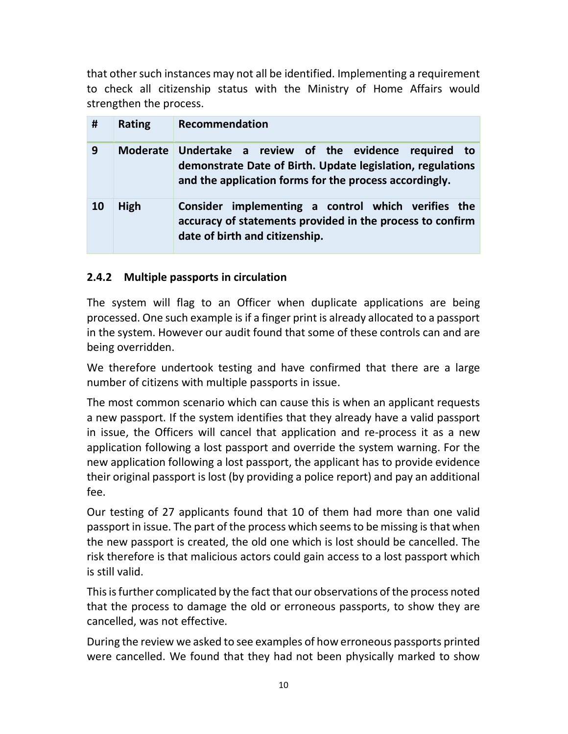that other such instances may not all be identified. Implementing a requirement to check all citizenship status with the Ministry of Home Affairs would strengthen the process.

| #  | <b>Rating</b>   | Recommendation                                                                                                                                                         |
|----|-----------------|------------------------------------------------------------------------------------------------------------------------------------------------------------------------|
| 9  | <b>Moderate</b> | Undertake a review of the evidence required to<br>demonstrate Date of Birth. Update legislation, regulations<br>and the application forms for the process accordingly. |
| 10 | High            | implementing a control which verifies the<br><b>Consider</b><br>accuracy of statements provided in the process to confirm<br>date of birth and citizenship.            |

#### 2.4.2 Multiple passports in circulation

The system will flag to an Officer when duplicate applications are being processed. One such example is if a finger print is already allocated to a passport in the system. However our audit found that some of these controls can and are being overridden.

We therefore undertook testing and have confirmed that there are a large number of citizens with multiple passports in issue.

The most common scenario which can cause this is when an applicant requests a new passport. If the system identifies that they already have a valid passport in issue, the Officers will cancel that application and re-process it as a new application following a lost passport and override the system warning. For the new application following a lost passport, the applicant has to provide evidence their original passport is lost (by providing a police report) and pay an additional fee.

Our testing of 27 applicants found that 10 of them had more than one valid passport in issue. The part of the process which seems to be missing is that when the new passport is created, the old one which is lost should be cancelled. The risk therefore is that malicious actors could gain access to a lost passport which is still valid.

This is further complicated by the fact that our observations of the process noted that the process to damage the old or erroneous passports, to show they are cancelled, was not effective.

During the review we asked to see examples of how erroneous passports printed were cancelled. We found that they had not been physically marked to show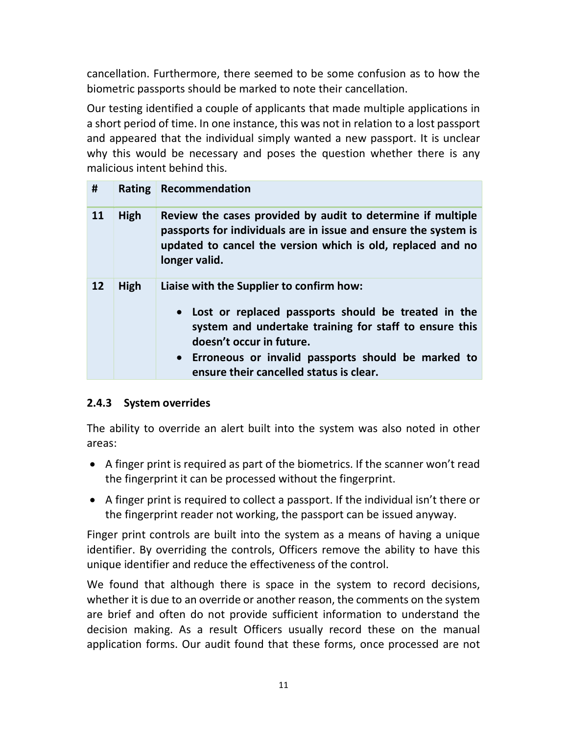cancellation. Furthermore, there seemed to be some confusion as to how the biometric passports should be marked to note their cancellation.

Our testing identified a couple of applicants that made multiple applications in a short period of time. In one instance, this was not in relation to a lost passport and appeared that the individual simply wanted a new passport. It is unclear why this would be necessary and poses the question whether there is any malicious intent behind this.

| #  |      | Rating Recommendation                                                                                                                                                                                                                                                                      |
|----|------|--------------------------------------------------------------------------------------------------------------------------------------------------------------------------------------------------------------------------------------------------------------------------------------------|
| 11 | High | Review the cases provided by audit to determine if multiple<br>passports for individuals are in issue and ensure the system is<br>updated to cancel the version which is old, replaced and no<br>longer valid.                                                                             |
| 12 | High | Liaise with the Supplier to confirm how:<br>• Lost or replaced passports should be treated in the<br>system and undertake training for staff to ensure this<br>doesn't occur in future.<br>• Erroneous or invalid passports should be marked to<br>ensure their cancelled status is clear. |

#### 2.4.3 System overrides

The ability to override an alert built into the system was also noted in other areas:

- A finger print is required as part of the biometrics. If the scanner won't read the fingerprint it can be processed without the fingerprint.
- A finger print is required to collect a passport. If the individual isn't there or the fingerprint reader not working, the passport can be issued anyway.

Finger print controls are built into the system as a means of having a unique identifier. By overriding the controls, Officers remove the ability to have this unique identifier and reduce the effectiveness of the control.

We found that although there is space in the system to record decisions, whether it is due to an override or another reason, the comments on the system are brief and often do not provide sufficient information to understand the decision making. As a result Officers usually record these on the manual application forms. Our audit found that these forms, once processed are not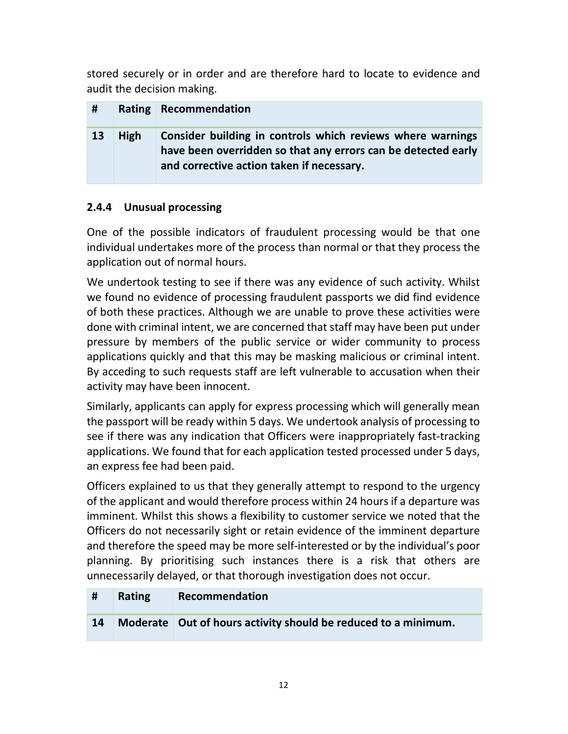stored securely or in order and are therefore hard to locate to evidence and audit the decision making.

| #  |      | Rating Recommendation                                                                                                                                                    |
|----|------|--------------------------------------------------------------------------------------------------------------------------------------------------------------------------|
| 13 | High | Consider building in controls which reviews where warnings<br>have been overridden so that any errors can be detected early<br>and corrective action taken if necessary. |

#### 2.4.4 Unusual processing

One of the possible indicators of fraudulent processing would be that one individual undertakes more of the process than normal or that they process the application out of normal hours.

We undertook testing to see if there was any evidence of such activity. Whilst we found no evidence of processing fraudulent passports we did find evidence of both these practices. Although we are unable to prove these activities were done with criminal intent, we are concerned that staff may have been put under pressure by members of the public service or wider community to process applications quickly and that this may be masking malicious or criminal intent. By acceding to such requests staff are left vulnerable to accusation when their activity may have been innocent.

Similarly, applicants can apply for express processing which will generally mean the passport will be ready within 5 days. We undertook analysis of processing to see if there was any indication that Officers were inappropriately fast-tracking applications. We found that for each application tested processed under 5 days, an express fee had been paid.

Officers explained to us that they generally attempt to respond to the urgency of the applicant and would therefore process within 24 hours if a departure was imminent. Whilst this shows a flexibility to customer service we noted that the Officers do not necessarily sight or retain evidence of the imminent departure and therefore the speed may be more self-interested or by the individual's poor planning. By prioritising such instances there is a risk that others are unnecessarily delayed, or that thorough investigation does not occur.

| #  | Rating | Recommendation                                                   |
|----|--------|------------------------------------------------------------------|
| 14 |        | Moderate   Out of hours activity should be reduced to a minimum. |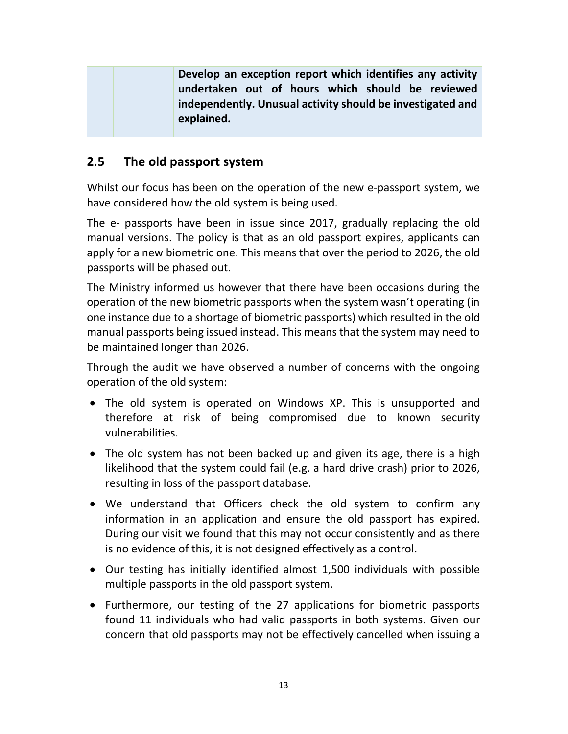| undertaken out of hours which should be reviewed           |  |
|------------------------------------------------------------|--|
| independently. Unusual activity should be investigated and |  |
| explained.                                                 |  |

#### 2.5 The old passport system

Whilst our focus has been on the operation of the new e-passport system, we have considered how the old system is being used.

The e- passports have been in issue since 2017, gradually replacing the old manual versions. The policy is that as an old passport expires, applicants can apply for a new biometric one. This means that over the period to 2026, the old passports will be phased out.

The Ministry informed us however that there have been occasions during the operation of the new biometric passports when the system wasn't operating (in one instance due to a shortage of biometric passports) which resulted in the old manual passports being issued instead. This means that the system may need to be maintained longer than 2026.

Through the audit we have observed a number of concerns with the ongoing operation of the old system:

- The old system is operated on Windows XP. This is unsupported and therefore at risk of being compromised due to known security vulnerabilities.
- The old system has not been backed up and given its age, there is a high likelihood that the system could fail (e.g. a hard drive crash) prior to 2026, resulting in loss of the passport database.
- We understand that Officers check the old system to confirm any information in an application and ensure the old passport has expired. During our visit we found that this may not occur consistently and as there is no evidence of this, it is not designed effectively as a control.
- Our testing has initially identified almost 1,500 individuals with possible multiple passports in the old passport system.
- Furthermore, our testing of the 27 applications for biometric passports found 11 individuals who had valid passports in both systems. Given our concern that old passports may not be effectively cancelled when issuing a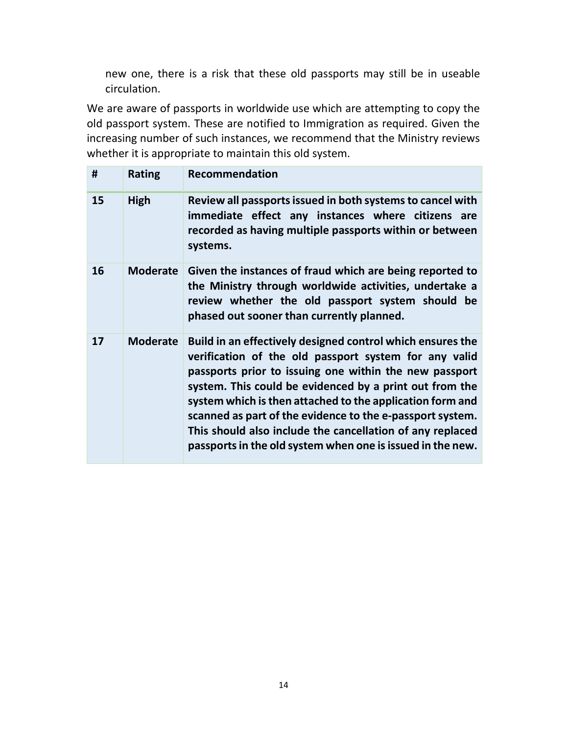new one, there is a risk that these old passports may still be in useable circulation.

We are aware of passports in worldwide use which are attempting to copy the old passport system. These are notified to Immigration as required. Given the increasing number of such instances, we recommend that the Ministry reviews whether it is appropriate to maintain this old system.

| #  | <b>Rating</b>   | Recommendation                                                                                                                                                                                                                                                                                                                                                                                                                                                                                |
|----|-----------------|-----------------------------------------------------------------------------------------------------------------------------------------------------------------------------------------------------------------------------------------------------------------------------------------------------------------------------------------------------------------------------------------------------------------------------------------------------------------------------------------------|
| 15 | <b>High</b>     | Review all passports issued in both systems to cancel with<br>immediate effect any instances where citizens are<br>recorded as having multiple passports within or between<br>systems.                                                                                                                                                                                                                                                                                                        |
| 16 | <b>Moderate</b> | Given the instances of fraud which are being reported to<br>the Ministry through worldwide activities, undertake a<br>review whether the old passport system should be<br>phased out sooner than currently planned.                                                                                                                                                                                                                                                                           |
| 17 | <b>Moderate</b> | Build in an effectively designed control which ensures the<br>verification of the old passport system for any valid<br>passports prior to issuing one within the new passport<br>system. This could be evidenced by a print out from the<br>system which is then attached to the application form and<br>scanned as part of the evidence to the e-passport system.<br>This should also include the cancellation of any replaced<br>passports in the old system when one is issued in the new. |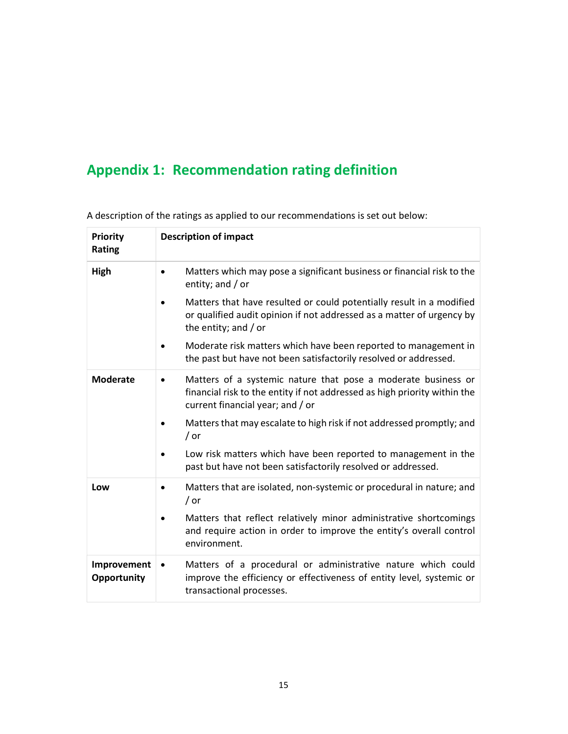## Appendix 1: Recommendation rating definition

| <b>Priority</b><br>Rating  | <b>Description of impact</b>                                                                                                                                                                |
|----------------------------|---------------------------------------------------------------------------------------------------------------------------------------------------------------------------------------------|
| High                       | Matters which may pose a significant business or financial risk to the<br>$\bullet$<br>entity; and / or                                                                                     |
|                            | Matters that have resulted or could potentially result in a modified<br>or qualified audit opinion if not addressed as a matter of urgency by<br>the entity; and $/$ or                     |
|                            | Moderate risk matters which have been reported to management in<br>$\bullet$<br>the past but have not been satisfactorily resolved or addressed.                                            |
| <b>Moderate</b>            | Matters of a systemic nature that pose a moderate business or<br>$\bullet$<br>financial risk to the entity if not addressed as high priority within the<br>current financial year; and / or |
|                            | Matters that may escalate to high risk if not addressed promptly; and<br>/ or                                                                                                               |
|                            | Low risk matters which have been reported to management in the<br>past but have not been satisfactorily resolved or addressed.                                                              |
| Low                        | Matters that are isolated, non-systemic or procedural in nature; and<br>$\bullet$<br>/ or                                                                                                   |
|                            | Matters that reflect relatively minor administrative shortcomings<br>$\bullet$<br>and require action in order to improve the entity's overall control<br>environment.                       |
| Improvement<br>Opportunity | Matters of a procedural or administrative nature which could<br>$\bullet$<br>improve the efficiency or effectiveness of entity level, systemic or<br>transactional processes.               |

A description of the ratings as applied to our recommendations is set out below: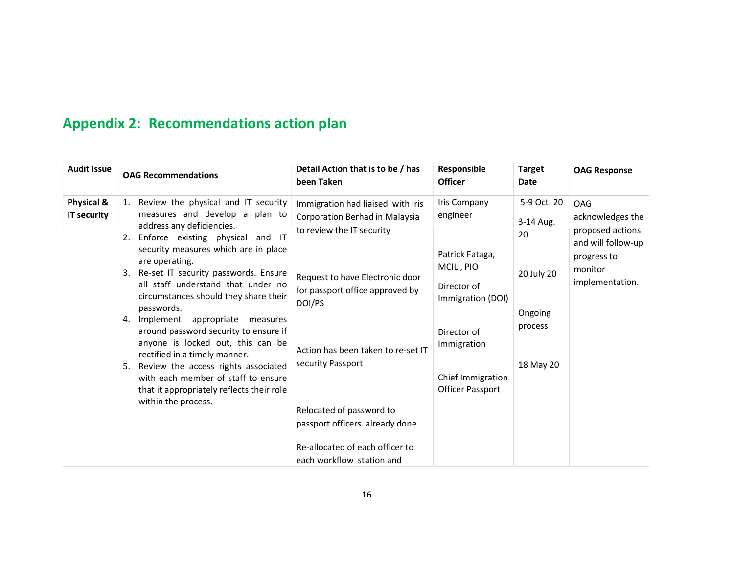## Appendix 2: Recommendations action plan

| <b>Audit Issue</b>        | <b>OAG Recommendations</b>                                                                                                                                                                                                                                                                                                                                                                                                                                                                                                                                                                                                                                                | Detail Action that is to be / has<br>been Taken                                                                                                                                                                                                                                                                                                                           | Responsible<br><b>Officer</b>                                                                                                                                               | <b>Target</b><br><b>Date</b>                                                    | <b>OAG Response</b>                                                                                            |
|---------------------------|---------------------------------------------------------------------------------------------------------------------------------------------------------------------------------------------------------------------------------------------------------------------------------------------------------------------------------------------------------------------------------------------------------------------------------------------------------------------------------------------------------------------------------------------------------------------------------------------------------------------------------------------------------------------------|---------------------------------------------------------------------------------------------------------------------------------------------------------------------------------------------------------------------------------------------------------------------------------------------------------------------------------------------------------------------------|-----------------------------------------------------------------------------------------------------------------------------------------------------------------------------|---------------------------------------------------------------------------------|----------------------------------------------------------------------------------------------------------------|
| Physical &<br>IT security | 1. Review the physical and IT security<br>measures and develop a plan to<br>address any deficiencies.<br>Enforce existing physical<br>and IT<br>2.<br>security measures which are in place<br>are operating.<br>Re-set IT security passwords. Ensure<br>3.<br>all staff understand that under no<br>circumstances should they share their<br>passwords.<br>Implement appropriate<br>4.<br>measures<br>around password security to ensure if<br>anyone is locked out, this can be<br>rectified in a timely manner.<br>Review the access rights associated<br>5.<br>with each member of staff to ensure<br>that it appropriately reflects their role<br>within the process. | Immigration had liaised with Iris<br>Corporation Berhad in Malaysia<br>to review the IT security<br>Request to have Electronic door<br>for passport office approved by<br>DOI/PS<br>Action has been taken to re-set IT<br>security Passport<br>Relocated of password to<br>passport officers already done<br>Re-allocated of each officer to<br>each workflow station and | Iris Company<br>engineer<br>Patrick Fataga,<br>MCILI, PIO<br>Director of<br>Immigration (DOI)<br>Director of<br>Immigration<br>Chief Immigration<br><b>Officer Passport</b> | 5-9 Oct. 20<br>3-14 Aug.<br>20<br>20 July 20<br>Ongoing<br>process<br>18 May 20 | OAG<br>acknowledges the<br>proposed actions<br>and will follow-up<br>progress to<br>monitor<br>implementation. |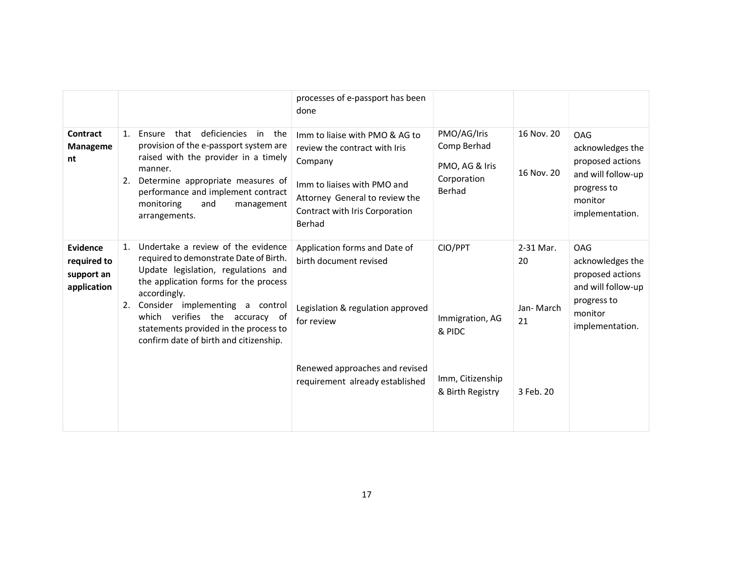|                                                      |                                                                                                                                                                                                                                                                                                                                                  | processes of e-passport has been<br>done                                                                                                                                                |                                                                       |                                    |                                                                                                                       |
|------------------------------------------------------|--------------------------------------------------------------------------------------------------------------------------------------------------------------------------------------------------------------------------------------------------------------------------------------------------------------------------------------------------|-----------------------------------------------------------------------------------------------------------------------------------------------------------------------------------------|-----------------------------------------------------------------------|------------------------------------|-----------------------------------------------------------------------------------------------------------------------|
| Contract<br>Manageme<br>nt                           | that deficiencies<br>1.<br>Ensure<br>in<br>the<br>provision of the e-passport system are<br>raised with the provider in a timely<br>manner.<br>Determine appropriate measures of<br>2.<br>performance and implement contract<br>monitoring<br>and<br>management<br>arrangements.                                                                 | Imm to liaise with PMO & AG to<br>review the contract with Iris<br>Company<br>Imm to liaises with PMO and<br>Attorney General to review the<br>Contract with Iris Corporation<br>Berhad | PMO/AG/Iris<br>Comp Berhad<br>PMO, AG & Iris<br>Corporation<br>Berhad | 16 Nov. 20<br>16 Nov. 20           | OAG<br>acknowledges the<br>proposed actions<br>and will follow-up<br>progress to<br>monitor<br>implementation.        |
| Evidence<br>required to<br>support an<br>application | Undertake a review of the evidence<br>1.<br>required to demonstrate Date of Birth.<br>Update legislation, regulations and<br>the application forms for the process<br>accordingly.<br>Consider implementing a control<br>2.<br>which verifies the accuracy of<br>statements provided in the process to<br>confirm date of birth and citizenship. | Application forms and Date of<br>birth document revised<br>Legislation & regulation approved<br>for review<br>Renewed approaches and revised                                            | CIO/PPT<br>Immigration, AG<br>& PIDC                                  | 2-31 Mar.<br>20<br>Jan-March<br>21 | <b>OAG</b><br>acknowledges the<br>proposed actions<br>and will follow-up<br>progress to<br>monitor<br>implementation. |
|                                                      |                                                                                                                                                                                                                                                                                                                                                  | requirement already established                                                                                                                                                         | Imm, Citizenship<br>& Birth Registry                                  | 3 Feb. 20                          |                                                                                                                       |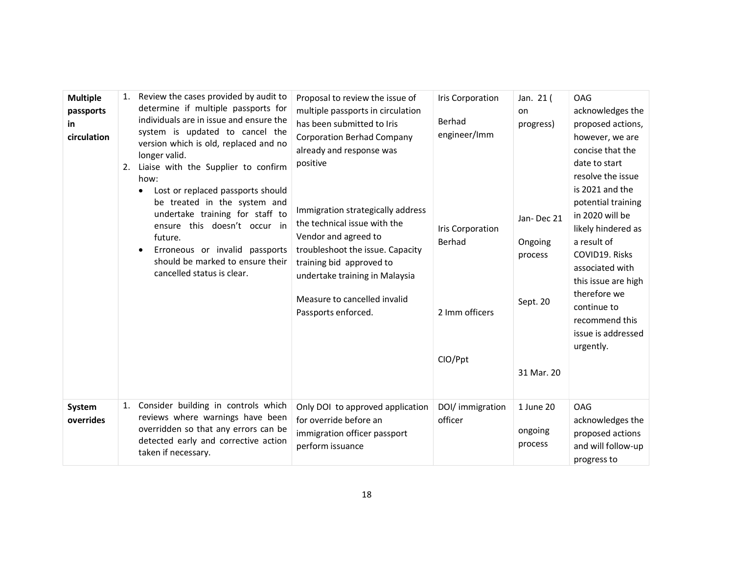| <b>Multiple</b><br>passports<br>in<br>circulation | 1. | Review the cases provided by audit to<br>determine if multiple passports for<br>individuals are in issue and ensure the<br>system is updated to cancel the<br>version which is old, replaced and no<br>longer valid.<br>2. Liaise with the Supplier to confirm<br>how:<br>Lost or replaced passports should<br>be treated in the system and<br>undertake training for staff to<br>ensure this doesn't occur in<br>future.<br>Erroneous or invalid passports<br>$\bullet$<br>should be marked to ensure their<br>cancelled status is clear. | Proposal to review the issue of<br>multiple passports in circulation<br>has been submitted to Iris<br><b>Corporation Berhad Company</b><br>already and response was<br>positive<br>Immigration strategically address<br>the technical issue with the<br>Vendor and agreed to<br>troubleshoot the issue. Capacity<br>training bid approved to<br>undertake training in Malaysia<br>Measure to cancelled invalid<br>Passports enforced. | <b>Iris Corporation</b><br>Berhad<br>engineer/Imm<br>Iris Corporation<br>Berhad<br>2 Imm officers<br>CIO/Ppt | Jan. 21 (<br>on<br>progress)<br>Jan-Dec 21<br>Ongoing<br>process<br>Sept. 20<br>31 Mar. 20 | <b>OAG</b><br>acknowledges the<br>proposed actions,<br>however, we are<br>concise that the<br>date to start<br>resolve the issue<br>is 2021 and the<br>potential training<br>in 2020 will be<br>likely hindered as<br>a result of<br>COVID19. Risks<br>associated with<br>this issue are high<br>therefore we<br>continue to<br>recommend this<br>issue is addressed<br>urgently. |
|---------------------------------------------------|----|--------------------------------------------------------------------------------------------------------------------------------------------------------------------------------------------------------------------------------------------------------------------------------------------------------------------------------------------------------------------------------------------------------------------------------------------------------------------------------------------------------------------------------------------|---------------------------------------------------------------------------------------------------------------------------------------------------------------------------------------------------------------------------------------------------------------------------------------------------------------------------------------------------------------------------------------------------------------------------------------|--------------------------------------------------------------------------------------------------------------|--------------------------------------------------------------------------------------------|-----------------------------------------------------------------------------------------------------------------------------------------------------------------------------------------------------------------------------------------------------------------------------------------------------------------------------------------------------------------------------------|
| System<br>overrides                               | 1. | Consider building in controls which<br>reviews where warnings have been<br>overridden so that any errors can be<br>detected early and corrective action<br>taken if necessary.                                                                                                                                                                                                                                                                                                                                                             | Only DOI to approved application<br>for override before an<br>immigration officer passport<br>perform issuance                                                                                                                                                                                                                                                                                                                        | DOI/ immigration<br>officer                                                                                  | 1 June 20<br>ongoing<br>process                                                            | <b>OAG</b><br>acknowledges the<br>proposed actions<br>and will follow-up<br>progress to                                                                                                                                                                                                                                                                                           |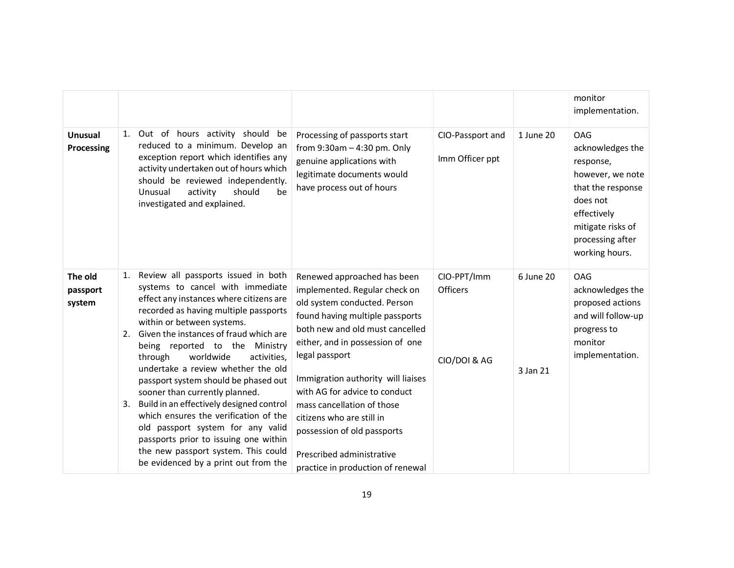|                               |                                                                                                                                                                                                                                                                                                                                                                                                                                                                                                                                                                                                                                                                                                  |                                                                                                                                                                                                                                                                                                                                                                                                                                                             |                                                |                       | monitor<br>implementation.                                                                                                                                                 |
|-------------------------------|--------------------------------------------------------------------------------------------------------------------------------------------------------------------------------------------------------------------------------------------------------------------------------------------------------------------------------------------------------------------------------------------------------------------------------------------------------------------------------------------------------------------------------------------------------------------------------------------------------------------------------------------------------------------------------------------------|-------------------------------------------------------------------------------------------------------------------------------------------------------------------------------------------------------------------------------------------------------------------------------------------------------------------------------------------------------------------------------------------------------------------------------------------------------------|------------------------------------------------|-----------------------|----------------------------------------------------------------------------------------------------------------------------------------------------------------------------|
| Unusual<br>Processing         | Out of hours activity should be<br>1.<br>reduced to a minimum. Develop an<br>exception report which identifies any<br>activity undertaken out of hours which<br>should be reviewed independently.<br>Unusual<br>activity<br>should<br>be<br>investigated and explained.                                                                                                                                                                                                                                                                                                                                                                                                                          | Processing of passports start<br>from $9:30$ am $-4:30$ pm. Only<br>genuine applications with<br>legitimate documents would<br>have process out of hours                                                                                                                                                                                                                                                                                                    | CIO-Passport and<br>Imm Officer ppt            | 1 June 20             | <b>OAG</b><br>acknowledges the<br>response,<br>however, we note<br>that the response<br>does not<br>effectively<br>mitigate risks of<br>processing after<br>working hours. |
| The old<br>passport<br>system | Review all passports issued in both<br>1.<br>systems to cancel with immediate<br>effect any instances where citizens are<br>recorded as having multiple passports<br>within or between systems.<br>Given the instances of fraud which are<br>2.<br>being reported to the Ministry<br>worldwide<br>through<br>activities,<br>undertake a review whether the old<br>passport system should be phased out<br>sooner than currently planned.<br>Build in an effectively designed control<br>3.<br>which ensures the verification of the<br>old passport system for any valid<br>passports prior to issuing one within<br>the new passport system. This could<br>be evidenced by a print out from the | Renewed approached has been<br>implemented. Regular check on<br>old system conducted. Person<br>found having multiple passports<br>both new and old must cancelled<br>either, and in possession of one<br>legal passport<br>Immigration authority will liaises<br>with AG for advice to conduct<br>mass cancellation of those<br>citizens who are still in<br>possession of old passports<br>Prescribed administrative<br>practice in production of renewal | CIO-PPT/Imm<br><b>Officers</b><br>CIO/DOI & AG | 6 June 20<br>3 Jan 21 | <b>OAG</b><br>acknowledges the<br>proposed actions<br>and will follow-up<br>progress to<br>monitor<br>implementation.                                                      |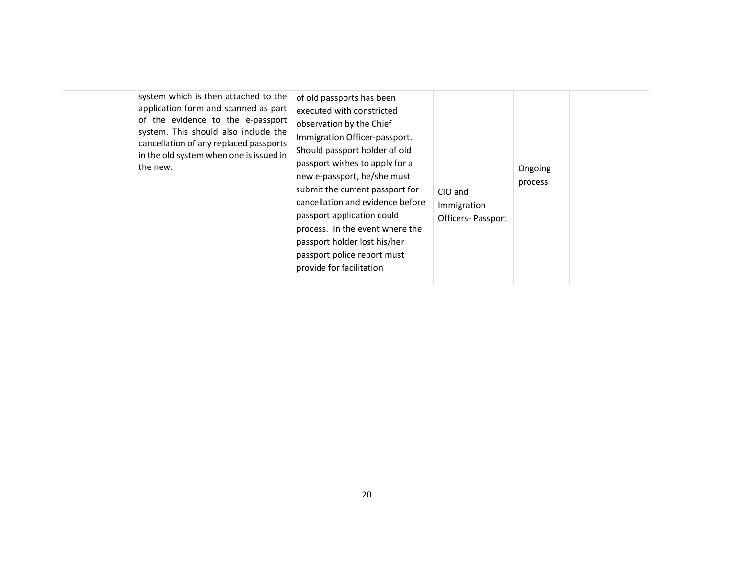| system which is then attached to the<br>application form and scanned as part<br>of the evidence to the e-passport<br>system. This should also include the<br>cancellation of any replaced passports<br>in the old system when one is issued in<br>the new. | of old passports has been<br>executed with constricted<br>observation by the Chief<br>Immigration Officer-passport.<br>Should passport holder of old<br>passport wishes to apply for a<br>new e-passport, he/she must<br>submit the current passport for<br>cancellation and evidence before<br>passport application could<br>process. In the event where the<br>passport holder lost his/her<br>passport police report must<br>provide for facilitation | CIO and<br>Immigration<br>Officers- Passport | Ongoing<br>process |  |
|------------------------------------------------------------------------------------------------------------------------------------------------------------------------------------------------------------------------------------------------------------|----------------------------------------------------------------------------------------------------------------------------------------------------------------------------------------------------------------------------------------------------------------------------------------------------------------------------------------------------------------------------------------------------------------------------------------------------------|----------------------------------------------|--------------------|--|
|------------------------------------------------------------------------------------------------------------------------------------------------------------------------------------------------------------------------------------------------------------|----------------------------------------------------------------------------------------------------------------------------------------------------------------------------------------------------------------------------------------------------------------------------------------------------------------------------------------------------------------------------------------------------------------------------------------------------------|----------------------------------------------|--------------------|--|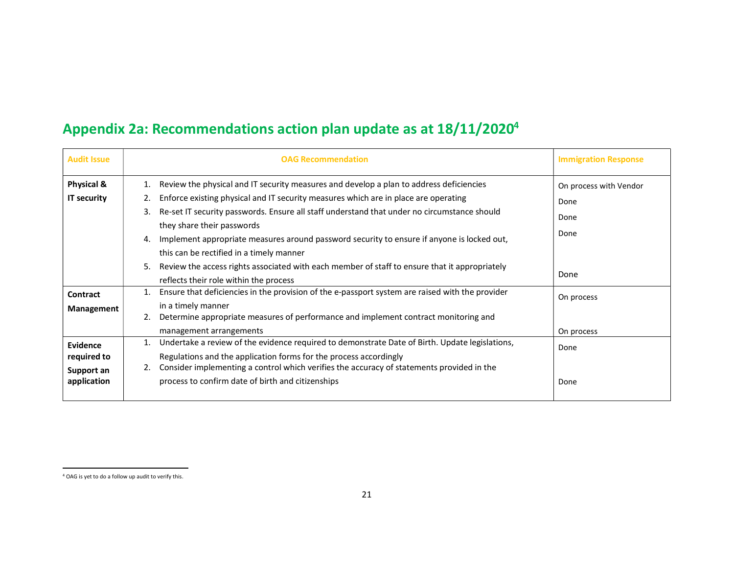## Appendix 2a: Recommendations action plan update as at 18/11/2020<sup>4</sup>

| <b>Audit Issue</b>                    | <b>OAG Recommendation</b>                                                                                                                                                                                                                                                                                                                                                                                                                                                           | <b>Immigration Response</b> |
|---------------------------------------|-------------------------------------------------------------------------------------------------------------------------------------------------------------------------------------------------------------------------------------------------------------------------------------------------------------------------------------------------------------------------------------------------------------------------------------------------------------------------------------|-----------------------------|
| <b>Physical &amp;</b>                 | Review the physical and IT security measures and develop a plan to address deficiencies<br>1.                                                                                                                                                                                                                                                                                                                                                                                       | On process with Vendor      |
| <b>IT security</b>                    | Enforce existing physical and IT security measures which are in place are operating<br>2.<br>Re-set IT security passwords. Ensure all staff understand that under no circumstance should<br>3.<br>they share their passwords<br>Implement appropriate measures around password security to ensure if anyone is locked out,<br>4.<br>this can be rectified in a timely manner<br>Review the access rights associated with each member of staff to ensure that it appropriately<br>5. | Done<br>Done<br>Done        |
|                                       | reflects their role within the process                                                                                                                                                                                                                                                                                                                                                                                                                                              | Done                        |
| Contract<br>Management                | Ensure that deficiencies in the provision of the e-passport system are raised with the provider<br>in a timely manner<br>Determine appropriate measures of performance and implement contract monitoring and<br>2.                                                                                                                                                                                                                                                                  | On process                  |
|                                       | management arrangements                                                                                                                                                                                                                                                                                                                                                                                                                                                             | On process                  |
| Evidence<br>required to<br>Support an | Undertake a review of the evidence required to demonstrate Date of Birth. Update legislations,<br>Regulations and the application forms for the process accordingly<br>Consider implementing a control which verifies the accuracy of statements provided in the                                                                                                                                                                                                                    | Done                        |
| application                           | process to confirm date of birth and citizenships                                                                                                                                                                                                                                                                                                                                                                                                                                   | Done                        |

 $\overline{a}$ 

<sup>4</sup> OAG is yet to do a follow up audit to verify this.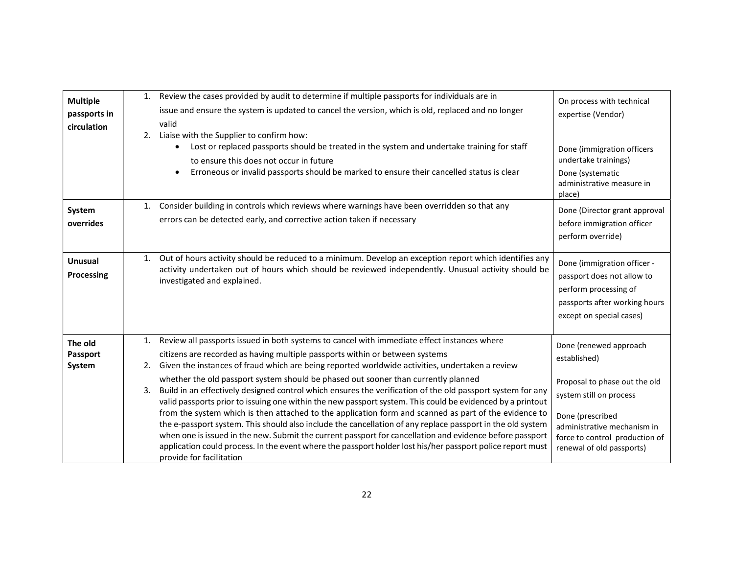| <b>Multiple</b><br>passports in<br>circulation | 2.       | 1. Review the cases provided by audit to determine if multiple passports for individuals are in<br>issue and ensure the system is updated to cancel the version, which is old, replaced and no longer<br>valid<br>Liaise with the Supplier to confirm how:<br>Lost or replaced passports should be treated in the system and undertake training for staff<br>$\bullet$<br>to ensure this does not occur in future<br>Erroneous or invalid passports should be marked to ensure their cancelled status is clear<br>$\bullet$                                                                                                                                                                                                                                                                                                                                                                                                                                                                                                                                                      | On process with technical<br>expertise (Vendor)<br>Done (immigration officers<br>undertake trainings)<br>Done (systematic<br>administrative measure in<br>place)                                                     |
|------------------------------------------------|----------|----------------------------------------------------------------------------------------------------------------------------------------------------------------------------------------------------------------------------------------------------------------------------------------------------------------------------------------------------------------------------------------------------------------------------------------------------------------------------------------------------------------------------------------------------------------------------------------------------------------------------------------------------------------------------------------------------------------------------------------------------------------------------------------------------------------------------------------------------------------------------------------------------------------------------------------------------------------------------------------------------------------------------------------------------------------------------------|----------------------------------------------------------------------------------------------------------------------------------------------------------------------------------------------------------------------|
| System<br>overrides                            | 1.       | Consider building in controls which reviews where warnings have been overridden so that any<br>errors can be detected early, and corrective action taken if necessary                                                                                                                                                                                                                                                                                                                                                                                                                                                                                                                                                                                                                                                                                                                                                                                                                                                                                                            | Done (Director grant approval<br>before immigration officer<br>perform override)                                                                                                                                     |
| Unusual<br>Processing                          | 1.       | Out of hours activity should be reduced to a minimum. Develop an exception report which identifies any<br>activity undertaken out of hours which should be reviewed independently. Unusual activity should be<br>investigated and explained.                                                                                                                                                                                                                                                                                                                                                                                                                                                                                                                                                                                                                                                                                                                                                                                                                                     | Done (immigration officer -<br>passport does not allow to<br>perform processing of<br>passports after working hours<br>except on special cases)                                                                      |
| The old<br><b>Passport</b><br>System           | 2.<br>3. | 1. Review all passports issued in both systems to cancel with immediate effect instances where<br>citizens are recorded as having multiple passports within or between systems<br>Given the instances of fraud which are being reported worldwide activities, undertaken a review<br>whether the old passport system should be phased out sooner than currently planned<br>Build in an effectively designed control which ensures the verification of the old passport system for any<br>valid passports prior to issuing one within the new passport system. This could be evidenced by a printout<br>from the system which is then attached to the application form and scanned as part of the evidence to<br>the e-passport system. This should also include the cancellation of any replace passport in the old system<br>when one is issued in the new. Submit the current passport for cancellation and evidence before passport<br>application could process. In the event where the passport holder lost his/her passport police report must<br>provide for facilitation | Done (renewed approach<br>established)<br>Proposal to phase out the old<br>system still on process<br>Done (prescribed<br>administrative mechanism in<br>force to control production of<br>renewal of old passports) |